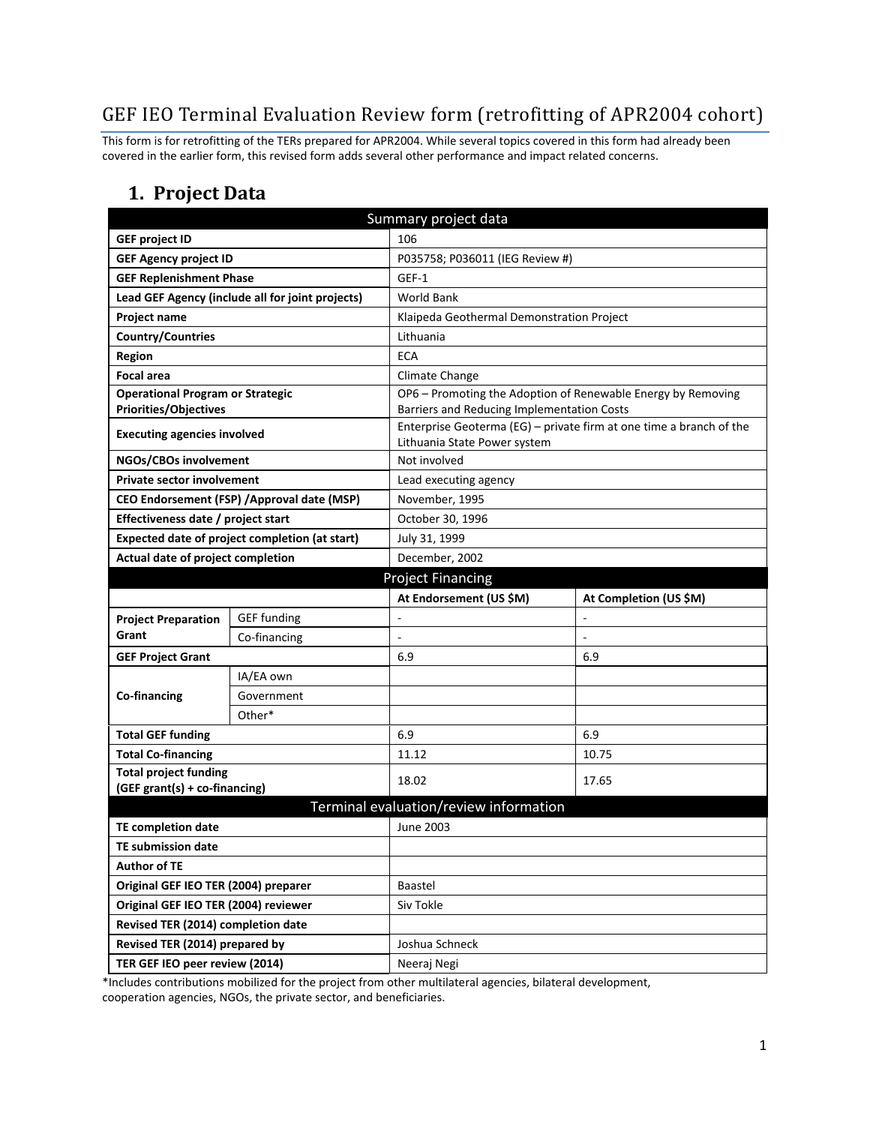## GEF IEO Terminal Evaluation Review form (retrofitting of APR2004 cohort)

This form is for retrofitting of the TERs prepared for APR2004. While several topics covered in this form had already been covered in the earlier form, this revised form adds several other performance and impact related concerns.

### **1. Project Data**

| Summary project data                                          |                                                  |                                            |                                                                     |  |
|---------------------------------------------------------------|--------------------------------------------------|--------------------------------------------|---------------------------------------------------------------------|--|
| <b>GEF project ID</b>                                         |                                                  | 106                                        |                                                                     |  |
| <b>GEF Agency project ID</b>                                  |                                                  | P035758; P036011 (IEG Review #)            |                                                                     |  |
| <b>GEF Replenishment Phase</b>                                |                                                  | GEF-1                                      |                                                                     |  |
|                                                               | Lead GEF Agency (include all for joint projects) | <b>World Bank</b>                          |                                                                     |  |
| Project name                                                  |                                                  | Klaipeda Geothermal Demonstration Project  |                                                                     |  |
| <b>Country/Countries</b>                                      |                                                  | Lithuania                                  |                                                                     |  |
| <b>Region</b>                                                 |                                                  | <b>ECA</b>                                 |                                                                     |  |
| <b>Focal area</b>                                             |                                                  | Climate Change                             |                                                                     |  |
| <b>Operational Program or Strategic</b>                       |                                                  |                                            | OP6 - Promoting the Adoption of Renewable Energy by Removing        |  |
| <b>Priorities/Objectives</b>                                  |                                                  | Barriers and Reducing Implementation Costs |                                                                     |  |
| <b>Executing agencies involved</b>                            |                                                  | Lithuania State Power system               | Enterprise Geoterma (EG) - private firm at one time a branch of the |  |
| NGOs/CBOs involvement                                         |                                                  | Not involved                               |                                                                     |  |
| <b>Private sector involvement</b>                             |                                                  | Lead executing agency                      |                                                                     |  |
| CEO Endorsement (FSP) / Approval date (MSP)                   |                                                  | November, 1995                             |                                                                     |  |
| Effectiveness date / project start                            |                                                  | October 30, 1996                           |                                                                     |  |
| Expected date of project completion (at start)                |                                                  | July 31, 1999                              |                                                                     |  |
| Actual date of project completion                             |                                                  | December, 2002                             |                                                                     |  |
| <b>Project Financing</b>                                      |                                                  |                                            |                                                                     |  |
|                                                               |                                                  | At Endorsement (US \$M)                    | At Completion (US \$M)                                              |  |
| <b>Project Preparation</b>                                    | <b>GEF funding</b>                               |                                            | L,                                                                  |  |
| Grant                                                         | Co-financing                                     |                                            |                                                                     |  |
| <b>GEF Project Grant</b>                                      |                                                  | 6.9                                        | 6.9                                                                 |  |
|                                                               | IA/EA own                                        |                                            |                                                                     |  |
| Co-financing                                                  | Government                                       |                                            |                                                                     |  |
|                                                               | Other*                                           |                                            |                                                                     |  |
| <b>Total GEF funding</b>                                      |                                                  | 6.9                                        | 6.9                                                                 |  |
| <b>Total Co-financing</b>                                     |                                                  | 11.12                                      | 10.75                                                               |  |
| <b>Total project funding</b><br>(GEF grant(s) + co-financing) |                                                  | 18.02                                      | 17.65                                                               |  |
| Terminal evaluation/review information                        |                                                  |                                            |                                                                     |  |
| TE completion date                                            |                                                  | <b>June 2003</b>                           |                                                                     |  |
| <b>TE submission date</b>                                     |                                                  |                                            |                                                                     |  |
| <b>Author of TE</b>                                           |                                                  |                                            |                                                                     |  |
| Original GEF IEO TER (2004) preparer                          |                                                  | Baastel                                    |                                                                     |  |
| Original GEF IEO TER (2004) reviewer                          |                                                  | Siv Tokle                                  |                                                                     |  |
| Revised TER (2014) completion date                            |                                                  |                                            |                                                                     |  |
| Revised TER (2014) prepared by                                |                                                  | Joshua Schneck                             |                                                                     |  |
| TER GEF IEO peer review (2014)                                |                                                  | Neeraj Negi                                |                                                                     |  |

\*Includes contributions mobilized for the project from other multilateral agencies, bilateral development, cooperation agencies, NGOs, the private sector, and beneficiaries.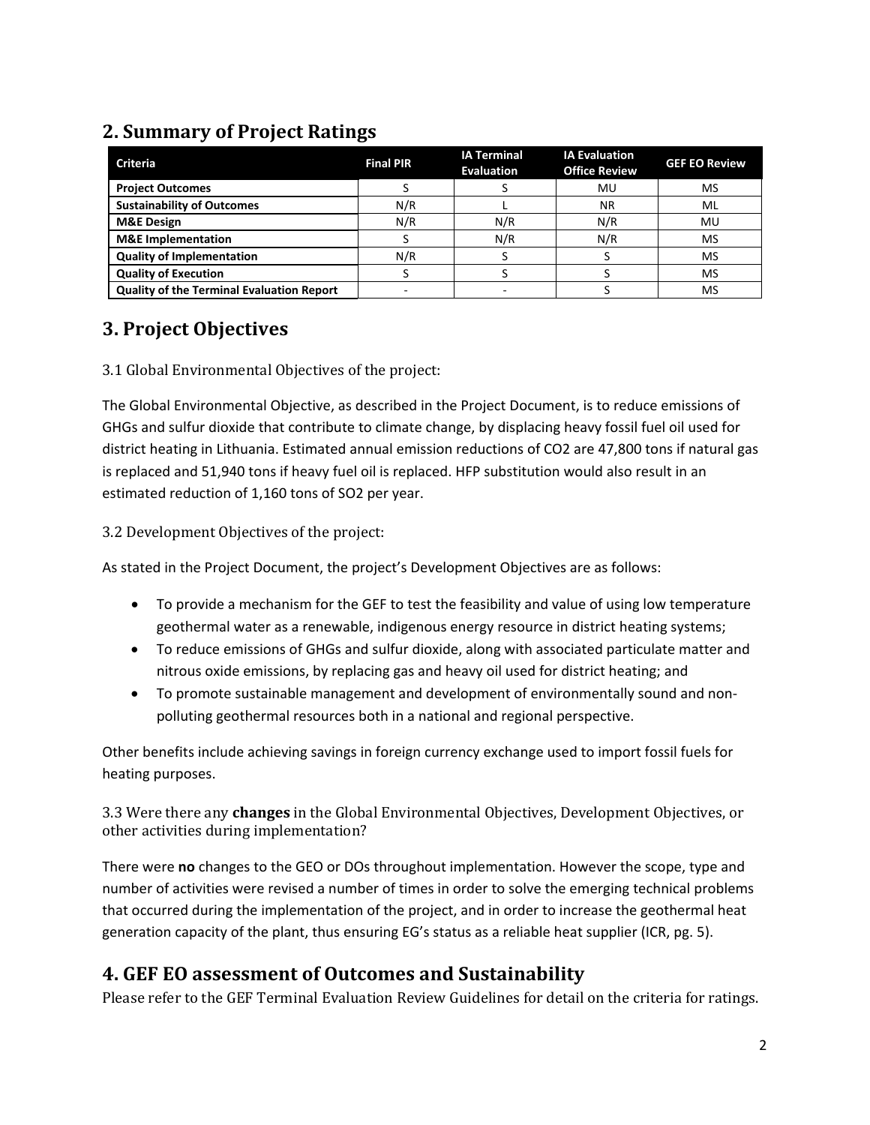## **2. Summary of Project Ratings**

| <b>Criteria</b>                                  | <b>Final PIR</b> | <b>IA Terminal</b><br><b>Evaluation</b> | <b>IA Evaluation</b><br><b>Office Review</b> | <b>GEF EO Review</b> |
|--------------------------------------------------|------------------|-----------------------------------------|----------------------------------------------|----------------------|
| <b>Project Outcomes</b>                          |                  |                                         | MU                                           | MS                   |
| <b>Sustainability of Outcomes</b>                | N/R              |                                         | <b>NR</b>                                    | ML                   |
| <b>M&amp;E Design</b>                            | N/R              | N/R                                     | N/R                                          | MU                   |
| <b>M&amp;E</b> Implementation                    |                  | N/R                                     | N/R                                          | MS                   |
| <b>Quality of Implementation</b>                 | N/R              |                                         |                                              | <b>MS</b>            |
| <b>Quality of Execution</b>                      |                  |                                         |                                              | MS                   |
| <b>Quality of the Terminal Evaluation Report</b> |                  |                                         |                                              | MS                   |

## **3. Project Objectives**

3.1 Global Environmental Objectives of the project:

The Global Environmental Objective, as described in the Project Document, is to reduce emissions of GHGs and sulfur dioxide that contribute to climate change, by displacing heavy fossil fuel oil used for district heating in Lithuania. Estimated annual emission reductions of CO2 are 47,800 tons if natural gas is replaced and 51,940 tons if heavy fuel oil is replaced. HFP substitution would also result in an estimated reduction of 1,160 tons of SO2 per year.

#### 3.2 Development Objectives of the project:

As stated in the Project Document, the project's Development Objectives are as follows:

- To provide a mechanism for the GEF to test the feasibility and value of using low temperature geothermal water as a renewable, indigenous energy resource in district heating systems;
- To reduce emissions of GHGs and sulfur dioxide, along with associated particulate matter and nitrous oxide emissions, by replacing gas and heavy oil used for district heating; and
- To promote sustainable management and development of environmentally sound and nonpolluting geothermal resources both in a national and regional perspective.

Other benefits include achieving savings in foreign currency exchange used to import fossil fuels for heating purposes.

3.3 Were there any **changes** in the Global Environmental Objectives, Development Objectives, or other activities during implementation?

There were **no** changes to the GEO or DOs throughout implementation. However the scope, type and number of activities were revised a number of times in order to solve the emerging technical problems that occurred during the implementation of the project, and in order to increase the geothermal heat generation capacity of the plant, thus ensuring EG's status as a reliable heat supplier (ICR, pg. 5).

## **4. GEF EO assessment of Outcomes and Sustainability**

Please refer to the GEF Terminal Evaluation Review Guidelines for detail on the criteria for ratings.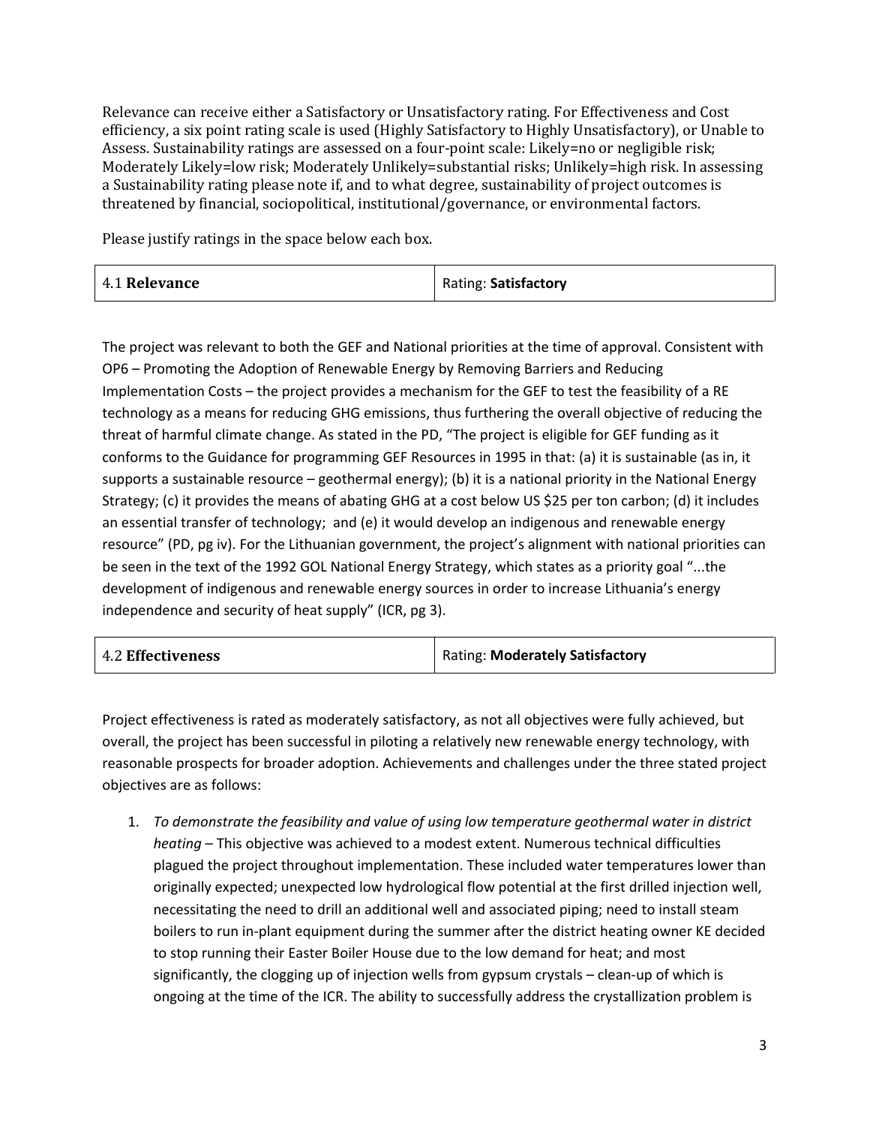Relevance can receive either a Satisfactory or Unsatisfactory rating. For Effectiveness and Cost efficiency, a six point rating scale is used (Highly Satisfactory to Highly Unsatisfactory), or Unable to Assess. Sustainability ratings are assessed on a four-point scale: Likely=no or negligible risk; Moderately Likely=low risk; Moderately Unlikely=substantial risks; Unlikely=high risk. In assessing a Sustainability rating please note if, and to what degree, sustainability of project outcomes is threatened by financial, sociopolitical, institutional/governance, or environmental factors.

Please justify ratings in the space below each box.

| 4.1 Relevance | Rating: Satisfactory |
|---------------|----------------------|
|---------------|----------------------|

The project was relevant to both the GEF and National priorities at the time of approval. Consistent with OP6 – Promoting the Adoption of Renewable Energy by Removing Barriers and Reducing Implementation Costs – the project provides a mechanism for the GEF to test the feasibility of a RE technology as a means for reducing GHG emissions, thus furthering the overall objective of reducing the threat of harmful climate change. As stated in the PD, "The project is eligible for GEF funding as it conforms to the Guidance for programming GEF Resources in 1995 in that: (a) it is sustainable (as in, it supports a sustainable resource – geothermal energy); (b) it is a national priority in the National Energy Strategy; (c) it provides the means of abating GHG at a cost below US \$25 per ton carbon; (d) it includes an essential transfer of technology; and (e) it would develop an indigenous and renewable energy resource" (PD, pg iv). For the Lithuanian government, the project's alignment with national priorities can be seen in the text of the 1992 GOL National Energy Strategy, which states as a priority goal "...the development of indigenous and renewable energy sources in order to increase Lithuania's energy independence and security of heat supply" (ICR, pg 3).

| <b>4.2 Effectiveness</b> | Rating: Moderately Satisfactory |
|--------------------------|---------------------------------|
|--------------------------|---------------------------------|

Project effectiveness is rated as moderately satisfactory, as not all objectives were fully achieved, but overall, the project has been successful in piloting a relatively new renewable energy technology, with reasonable prospects for broader adoption. Achievements and challenges under the three stated project objectives are as follows:

1. *To demonstrate the feasibility and value of using low temperature geothermal water in district heating* – This objective was achieved to a modest extent. Numerous technical difficulties plagued the project throughout implementation. These included water temperatures lower than originally expected; unexpected low hydrological flow potential at the first drilled injection well, necessitating the need to drill an additional well and associated piping; need to install steam boilers to run in-plant equipment during the summer after the district heating owner KE decided to stop running their Easter Boiler House due to the low demand for heat; and most significantly, the clogging up of injection wells from gypsum crystals – clean-up of which is ongoing at the time of the ICR. The ability to successfully address the crystallization problem is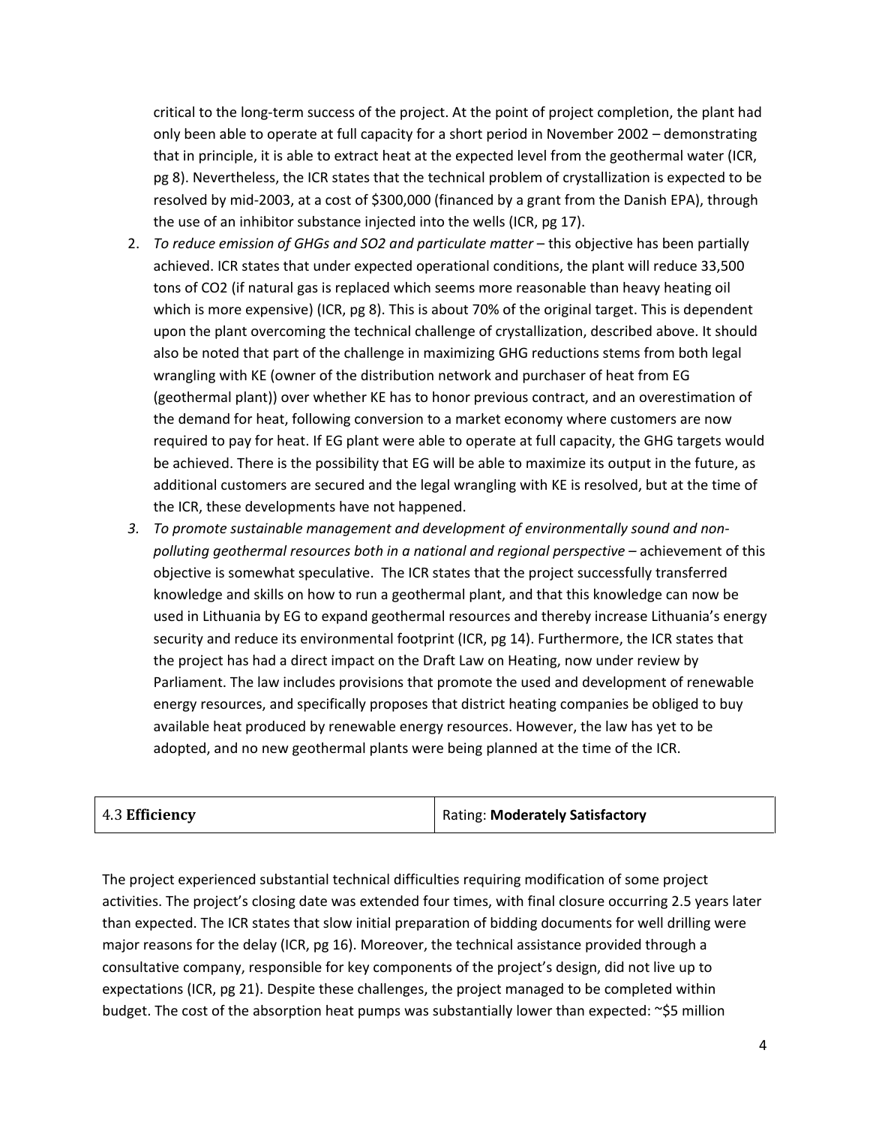critical to the long-term success of the project. At the point of project completion, the plant had only been able to operate at full capacity for a short period in November 2002 – demonstrating that in principle, it is able to extract heat at the expected level from the geothermal water (ICR, pg 8). Nevertheless, the ICR states that the technical problem of crystallization is expected to be resolved by mid-2003, at a cost of \$300,000 (financed by a grant from the Danish EPA), through the use of an inhibitor substance injected into the wells (ICR, pg 17).

- 2. *To reduce emission of GHGs and SO2 and particulate matter* this objective has been partially achieved. ICR states that under expected operational conditions, the plant will reduce 33,500 tons of CO2 (if natural gas is replaced which seems more reasonable than heavy heating oil which is more expensive) (ICR, pg 8). This is about 70% of the original target. This is dependent upon the plant overcoming the technical challenge of crystallization, described above. It should also be noted that part of the challenge in maximizing GHG reductions stems from both legal wrangling with KE (owner of the distribution network and purchaser of heat from EG (geothermal plant)) over whether KE has to honor previous contract, and an overestimation of the demand for heat, following conversion to a market economy where customers are now required to pay for heat. If EG plant were able to operate at full capacity, the GHG targets would be achieved. There is the possibility that EG will be able to maximize its output in the future, as additional customers are secured and the legal wrangling with KE is resolved, but at the time of the ICR, these developments have not happened.
- *3. To promote sustainable management and development of environmentally sound and nonpolluting geothermal resources both in a national and regional perspective –* achievement of this objective is somewhat speculative. The ICR states that the project successfully transferred knowledge and skills on how to run a geothermal plant, and that this knowledge can now be used in Lithuania by EG to expand geothermal resources and thereby increase Lithuania's energy security and reduce its environmental footprint (ICR, pg 14). Furthermore, the ICR states that the project has had a direct impact on the Draft Law on Heating, now under review by Parliament. The law includes provisions that promote the used and development of renewable energy resources, and specifically proposes that district heating companies be obliged to buy available heat produced by renewable energy resources. However, the law has yet to be adopted, and no new geothermal plants were being planned at the time of the ICR.

| 4.3 Efficiency | Rating: Moderately Satisfactory |
|----------------|---------------------------------|
|----------------|---------------------------------|

The project experienced substantial technical difficulties requiring modification of some project activities. The project's closing date was extended four times, with final closure occurring 2.5 years later than expected. The ICR states that slow initial preparation of bidding documents for well drilling were major reasons for the delay (ICR, pg 16). Moreover, the technical assistance provided through a consultative company, responsible for key components of the project's design, did not live up to expectations (ICR, pg 21). Despite these challenges, the project managed to be completed within budget. The cost of the absorption heat pumps was substantially lower than expected: ~\$5 million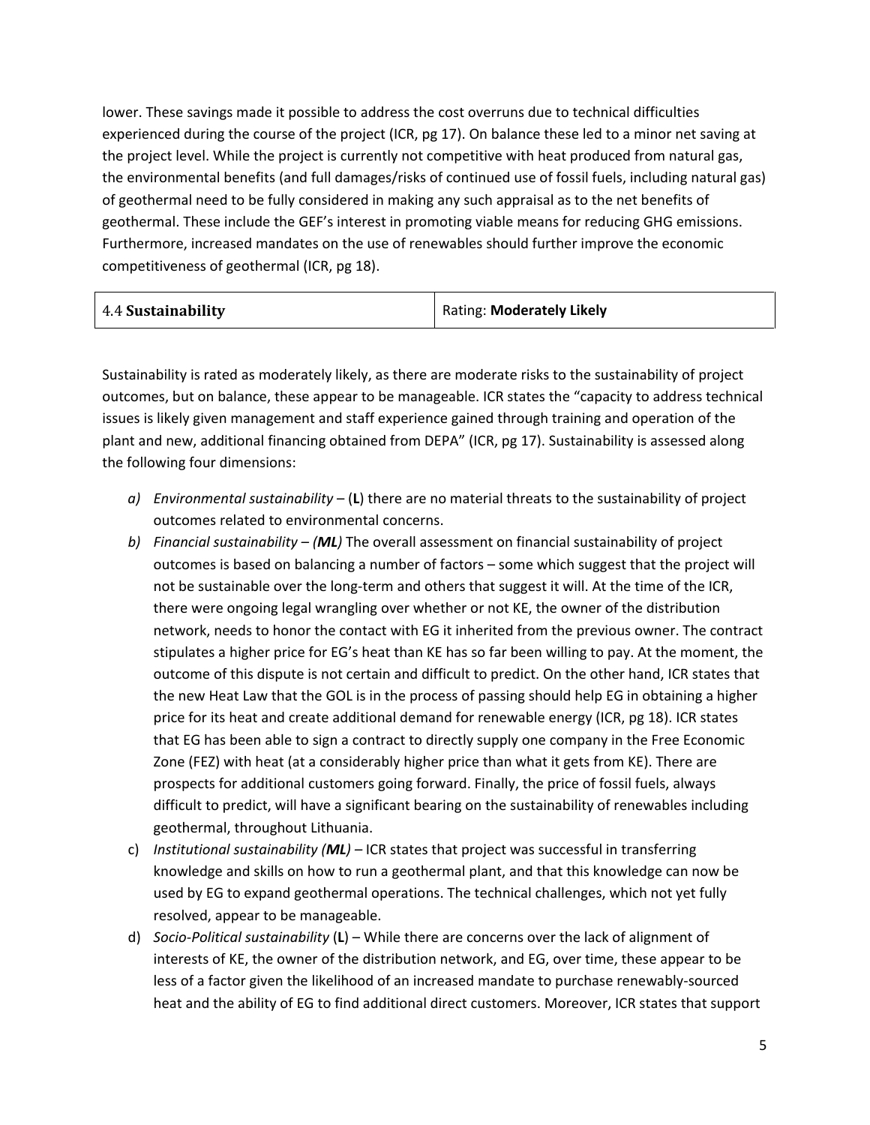lower. These savings made it possible to address the cost overruns due to technical difficulties experienced during the course of the project (ICR, pg 17). On balance these led to a minor net saving at the project level. While the project is currently not competitive with heat produced from natural gas, the environmental benefits (and full damages/risks of continued use of fossil fuels, including natural gas) of geothermal need to be fully considered in making any such appraisal as to the net benefits of geothermal. These include the GEF's interest in promoting viable means for reducing GHG emissions. Furthermore, increased mandates on the use of renewables should further improve the economic competitiveness of geothermal (ICR, pg 18).

Sustainability is rated as moderately likely, as there are moderate risks to the sustainability of project outcomes, but on balance, these appear to be manageable. ICR states the "capacity to address technical issues is likely given management and staff experience gained through training and operation of the plant and new, additional financing obtained from DEPA" (ICR, pg 17). Sustainability is assessed along the following four dimensions:

- *a) Environmental sustainability* (**L**) there are no material threats to the sustainability of project outcomes related to environmental concerns.
- *b) Financial sustainability (ML)* The overall assessment on financial sustainability of project outcomes is based on balancing a number of factors – some which suggest that the project will not be sustainable over the long-term and others that suggest it will. At the time of the ICR, there were ongoing legal wrangling over whether or not KE, the owner of the distribution network, needs to honor the contact with EG it inherited from the previous owner. The contract stipulates a higher price for EG's heat than KE has so far been willing to pay. At the moment, the outcome of this dispute is not certain and difficult to predict. On the other hand, ICR states that the new Heat Law that the GOL is in the process of passing should help EG in obtaining a higher price for its heat and create additional demand for renewable energy (ICR, pg 18). ICR states that EG has been able to sign a contract to directly supply one company in the Free Economic Zone (FEZ) with heat (at a considerably higher price than what it gets from KE). There are prospects for additional customers going forward. Finally, the price of fossil fuels, always difficult to predict, will have a significant bearing on the sustainability of renewables including geothermal, throughout Lithuania.
- c) *Institutional sustainability (ML)* ICR states that project was successful in transferring knowledge and skills on how to run a geothermal plant, and that this knowledge can now be used by EG to expand geothermal operations. The technical challenges, which not yet fully resolved, appear to be manageable.
- d) *Socio-Political sustainability* (**L**) While there are concerns over the lack of alignment of interests of KE, the owner of the distribution network, and EG, over time, these appear to be less of a factor given the likelihood of an increased mandate to purchase renewably-sourced heat and the ability of EG to find additional direct customers. Moreover, ICR states that support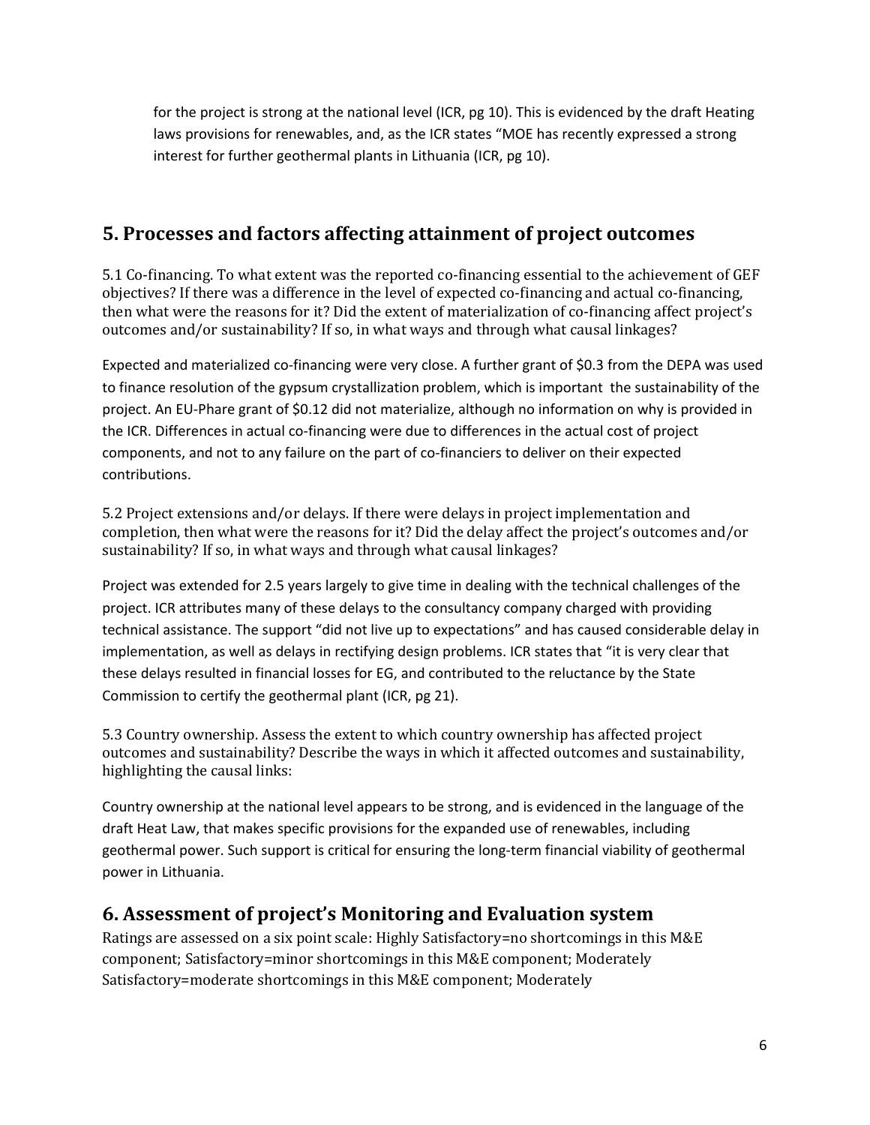for the project is strong at the national level (ICR, pg 10). This is evidenced by the draft Heating laws provisions for renewables, and, as the ICR states "MOE has recently expressed a strong interest for further geothermal plants in Lithuania (ICR, pg 10).

### **5. Processes and factors affecting attainment of project outcomes**

5.1 Co-financing. To what extent was the reported co-financing essential to the achievement of GEF objectives? If there was a difference in the level of expected co-financing and actual co-financing, then what were the reasons for it? Did the extent of materialization of co-financing affect project's outcomes and/or sustainability? If so, in what ways and through what causal linkages?

Expected and materialized co-financing were very close. A further grant of \$0.3 from the DEPA was used to finance resolution of the gypsum crystallization problem, which is important the sustainability of the project. An EU-Phare grant of \$0.12 did not materialize, although no information on why is provided in the ICR. Differences in actual co-financing were due to differences in the actual cost of project components, and not to any failure on the part of co-financiers to deliver on their expected contributions.

5.2 Project extensions and/or delays. If there were delays in project implementation and completion, then what were the reasons for it? Did the delay affect the project's outcomes and/or sustainability? If so, in what ways and through what causal linkages?

Project was extended for 2.5 years largely to give time in dealing with the technical challenges of the project. ICR attributes many of these delays to the consultancy company charged with providing technical assistance. The support "did not live up to expectations" and has caused considerable delay in implementation, as well as delays in rectifying design problems. ICR states that "it is very clear that these delays resulted in financial losses for EG, and contributed to the reluctance by the State Commission to certify the geothermal plant (ICR, pg 21).

5.3 Country ownership. Assess the extent to which country ownership has affected project outcomes and sustainability? Describe the ways in which it affected outcomes and sustainability, highlighting the causal links:

Country ownership at the national level appears to be strong, and is evidenced in the language of the draft Heat Law, that makes specific provisions for the expanded use of renewables, including geothermal power. Such support is critical for ensuring the long-term financial viability of geothermal power in Lithuania.

### **6. Assessment of project's Monitoring and Evaluation system**

Ratings are assessed on a six point scale: Highly Satisfactory=no shortcomings in this M&E component; Satisfactory=minor shortcomings in this M&E component; Moderately Satisfactory=moderate shortcomings in this M&E component; Moderately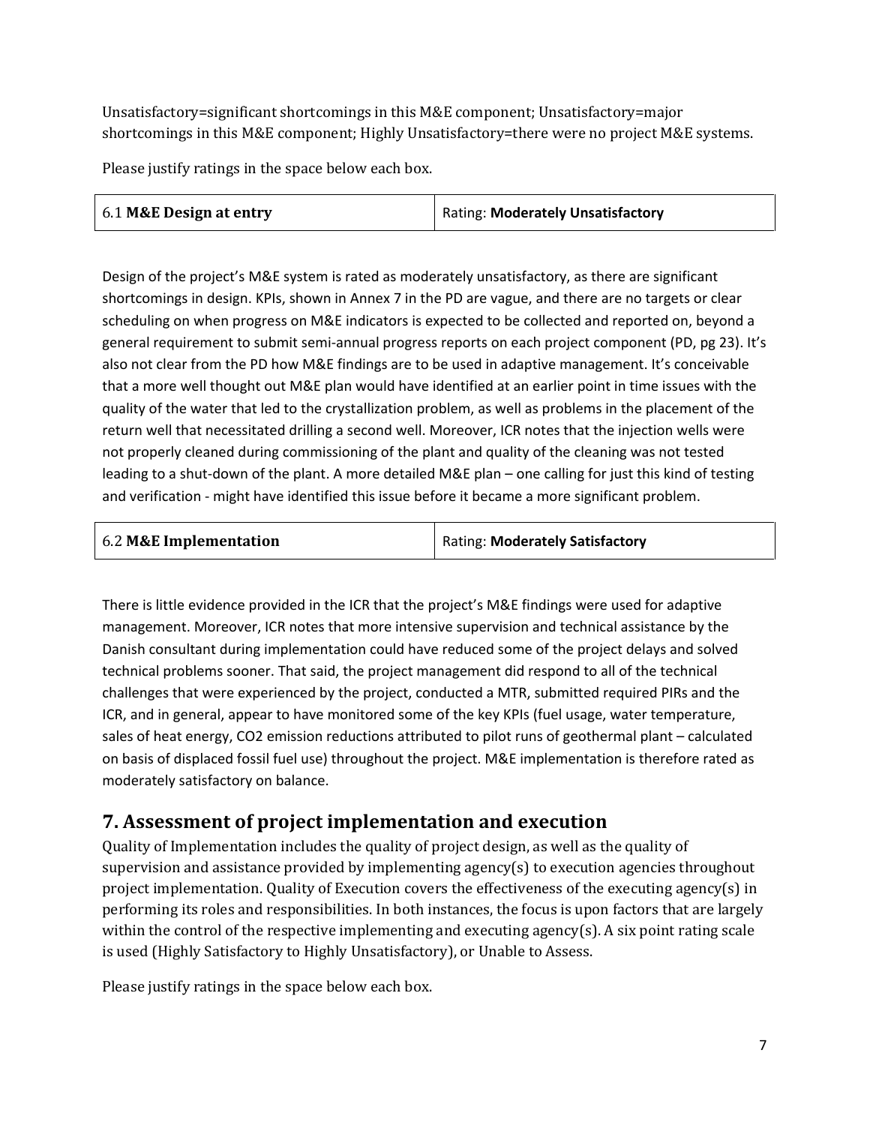Unsatisfactory=significant shortcomings in this M&E component; Unsatisfactory=major shortcomings in this M&E component; Highly Unsatisfactory=there were no project M&E systems.

Please justify ratings in the space below each box.

| 6.1 M&E Design at entry | Rating: Moderately Unsatisfactory |
|-------------------------|-----------------------------------|
|                         |                                   |

Design of the project's M&E system is rated as moderately unsatisfactory, as there are significant shortcomings in design. KPIs, shown in Annex 7 in the PD are vague, and there are no targets or clear scheduling on when progress on M&E indicators is expected to be collected and reported on, beyond a general requirement to submit semi-annual progress reports on each project component (PD, pg 23). It's also not clear from the PD how M&E findings are to be used in adaptive management. It's conceivable that a more well thought out M&E plan would have identified at an earlier point in time issues with the quality of the water that led to the crystallization problem, as well as problems in the placement of the return well that necessitated drilling a second well. Moreover, ICR notes that the injection wells were not properly cleaned during commissioning of the plant and quality of the cleaning was not tested leading to a shut-down of the plant. A more detailed M&E plan – one calling for just this kind of testing and verification - might have identified this issue before it became a more significant problem.

| 6.2 M&E Implementation | <b>Rating: Moderately Satisfactory</b> |  |
|------------------------|----------------------------------------|--|
|                        |                                        |  |

There is little evidence provided in the ICR that the project's M&E findings were used for adaptive management. Moreover, ICR notes that more intensive supervision and technical assistance by the Danish consultant during implementation could have reduced some of the project delays and solved technical problems sooner. That said, the project management did respond to all of the technical challenges that were experienced by the project, conducted a MTR, submitted required PIRs and the ICR, and in general, appear to have monitored some of the key KPIs (fuel usage, water temperature, sales of heat energy, CO2 emission reductions attributed to pilot runs of geothermal plant – calculated on basis of displaced fossil fuel use) throughout the project. M&E implementation is therefore rated as moderately satisfactory on balance.

### **7. Assessment of project implementation and execution**

Quality of Implementation includes the quality of project design, as well as the quality of supervision and assistance provided by implementing agency(s) to execution agencies throughout project implementation. Quality of Execution covers the effectiveness of the executing agency(s) in performing its roles and responsibilities. In both instances, the focus is upon factors that are largely within the control of the respective implementing and executing agency(s). A six point rating scale is used (Highly Satisfactory to Highly Unsatisfactory), or Unable to Assess.

Please justify ratings in the space below each box.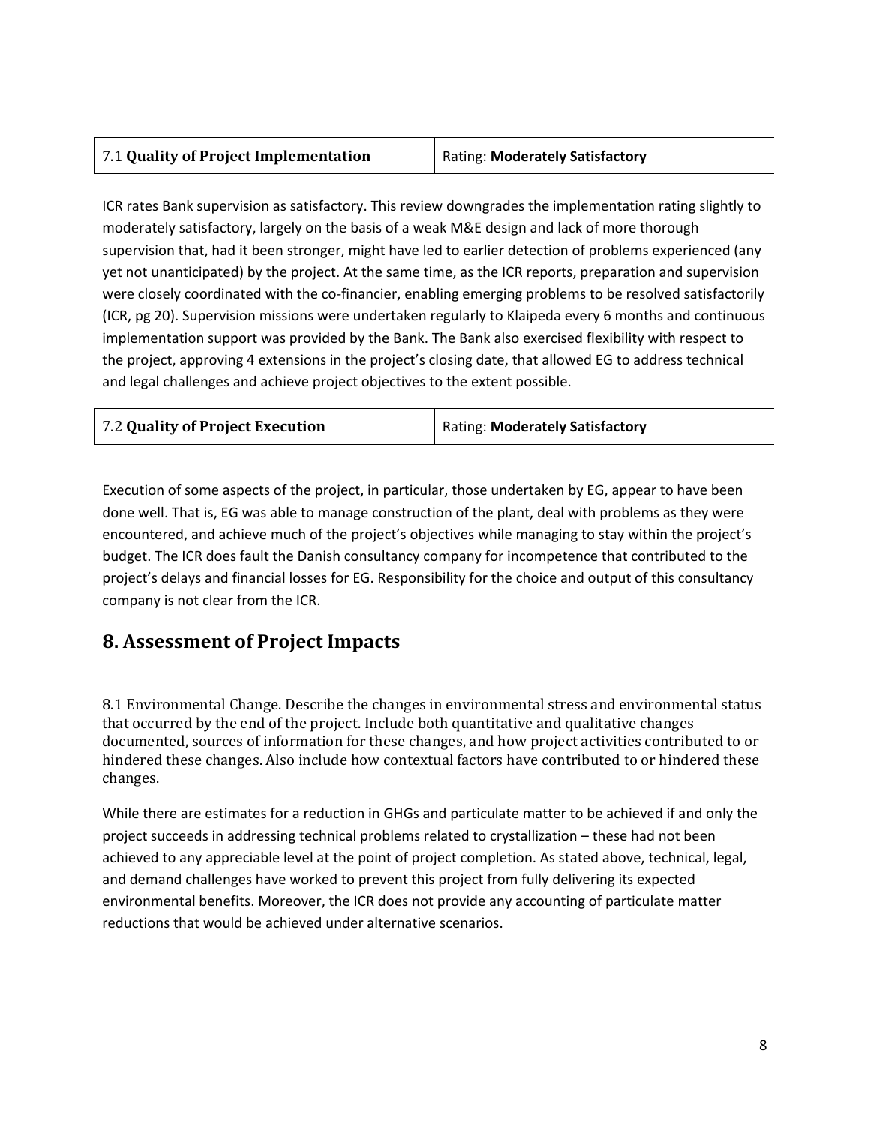| 7.1 Quality of Project Implementation | Rating: Moderately Satisfactory |
|---------------------------------------|---------------------------------|
|---------------------------------------|---------------------------------|

ICR rates Bank supervision as satisfactory. This review downgrades the implementation rating slightly to moderately satisfactory, largely on the basis of a weak M&E design and lack of more thorough supervision that, had it been stronger, might have led to earlier detection of problems experienced (any yet not unanticipated) by the project. At the same time, as the ICR reports, preparation and supervision were closely coordinated with the co-financier, enabling emerging problems to be resolved satisfactorily (ICR, pg 20). Supervision missions were undertaken regularly to Klaipeda every 6 months and continuous implementation support was provided by the Bank. The Bank also exercised flexibility with respect to the project, approving 4 extensions in the project's closing date, that allowed EG to address technical and legal challenges and achieve project objectives to the extent possible.

| 7.2 Quality of Project Execution | Rating: Moderately Satisfactory |
|----------------------------------|---------------------------------|
|----------------------------------|---------------------------------|

Execution of some aspects of the project, in particular, those undertaken by EG, appear to have been done well. That is, EG was able to manage construction of the plant, deal with problems as they were encountered, and achieve much of the project's objectives while managing to stay within the project's budget. The ICR does fault the Danish consultancy company for incompetence that contributed to the project's delays and financial losses for EG. Responsibility for the choice and output of this consultancy company is not clear from the ICR.

### **8. Assessment of Project Impacts**

8.1 Environmental Change. Describe the changes in environmental stress and environmental status that occurred by the end of the project. Include both quantitative and qualitative changes documented, sources of information for these changes, and how project activities contributed to or hindered these changes. Also include how contextual factors have contributed to or hindered these changes.

While there are estimates for a reduction in GHGs and particulate matter to be achieved if and only the project succeeds in addressing technical problems related to crystallization – these had not been achieved to any appreciable level at the point of project completion. As stated above, technical, legal, and demand challenges have worked to prevent this project from fully delivering its expected environmental benefits. Moreover, the ICR does not provide any accounting of particulate matter reductions that would be achieved under alternative scenarios.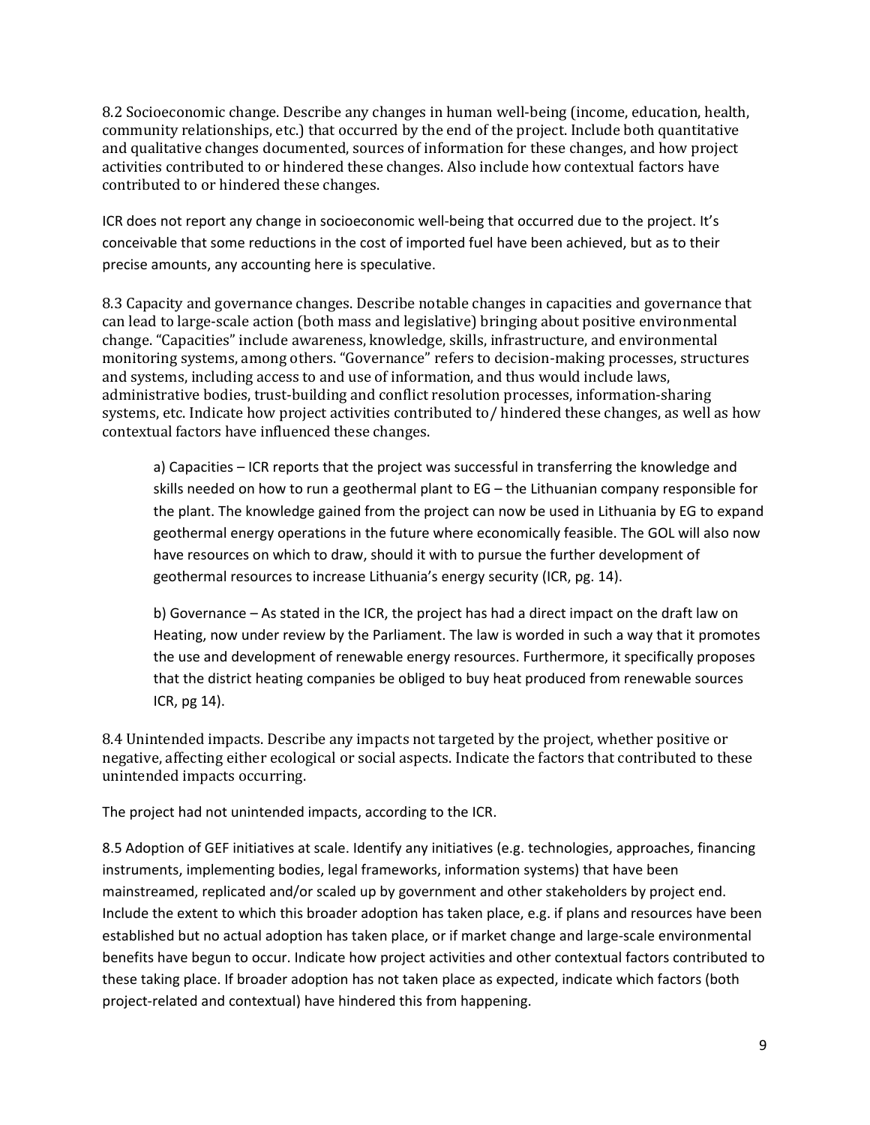8.2 Socioeconomic change. Describe any changes in human well-being (income, education, health, community relationships, etc.) that occurred by the end of the project. Include both quantitative and qualitative changes documented, sources of information for these changes, and how project activities contributed to or hindered these changes. Also include how contextual factors have contributed to or hindered these changes.

ICR does not report any change in socioeconomic well-being that occurred due to the project. It's conceivable that some reductions in the cost of imported fuel have been achieved, but as to their precise amounts, any accounting here is speculative.

8.3 Capacity and governance changes. Describe notable changes in capacities and governance that can lead to large-scale action (both mass and legislative) bringing about positive environmental change. "Capacities" include awareness, knowledge, skills, infrastructure, and environmental monitoring systems, among others. "Governance" refers to decision-making processes, structures and systems, including access to and use of information, and thus would include laws, administrative bodies, trust-building and conflict resolution processes, information-sharing systems, etc. Indicate how project activities contributed to/ hindered these changes, as well as how contextual factors have influenced these changes.

a) Capacities – ICR reports that the project was successful in transferring the knowledge and skills needed on how to run a geothermal plant to EG – the Lithuanian company responsible for the plant. The knowledge gained from the project can now be used in Lithuania by EG to expand geothermal energy operations in the future where economically feasible. The GOL will also now have resources on which to draw, should it with to pursue the further development of geothermal resources to increase Lithuania's energy security (ICR, pg. 14).

b) Governance – As stated in the ICR, the project has had a direct impact on the draft law on Heating, now under review by the Parliament. The law is worded in such a way that it promotes the use and development of renewable energy resources. Furthermore, it specifically proposes that the district heating companies be obliged to buy heat produced from renewable sources ICR, pg 14).

8.4 Unintended impacts. Describe any impacts not targeted by the project, whether positive or negative, affecting either ecological or social aspects. Indicate the factors that contributed to these unintended impacts occurring.

The project had not unintended impacts, according to the ICR.

8.5 Adoption of GEF initiatives at scale. Identify any initiatives (e.g. technologies, approaches, financing instruments, implementing bodies, legal frameworks, information systems) that have been mainstreamed, replicated and/or scaled up by government and other stakeholders by project end. Include the extent to which this broader adoption has taken place, e.g. if plans and resources have been established but no actual adoption has taken place, or if market change and large-scale environmental benefits have begun to occur. Indicate how project activities and other contextual factors contributed to these taking place. If broader adoption has not taken place as expected, indicate which factors (both project-related and contextual) have hindered this from happening.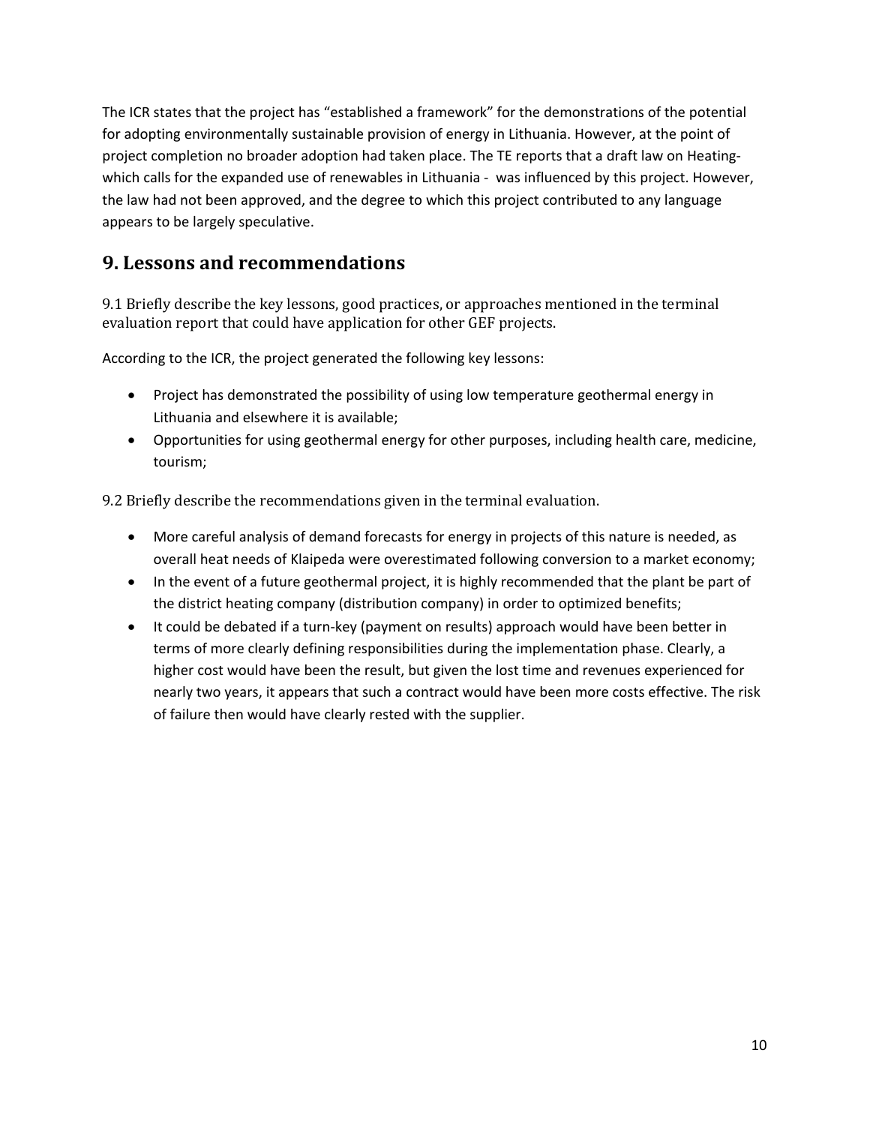The ICR states that the project has "established a framework" for the demonstrations of the potential for adopting environmentally sustainable provision of energy in Lithuania. However, at the point of project completion no broader adoption had taken place. The TE reports that a draft law on Heatingwhich calls for the expanded use of renewables in Lithuania - was influenced by this project. However, the law had not been approved, and the degree to which this project contributed to any language appears to be largely speculative.

### **9. Lessons and recommendations**

9.1 Briefly describe the key lessons, good practices, or approaches mentioned in the terminal evaluation report that could have application for other GEF projects.

According to the ICR, the project generated the following key lessons:

- Project has demonstrated the possibility of using low temperature geothermal energy in Lithuania and elsewhere it is available;
- Opportunities for using geothermal energy for other purposes, including health care, medicine, tourism;

9.2 Briefly describe the recommendations given in the terminal evaluation.

- More careful analysis of demand forecasts for energy in projects of this nature is needed, as overall heat needs of Klaipeda were overestimated following conversion to a market economy;
- In the event of a future geothermal project, it is highly recommended that the plant be part of the district heating company (distribution company) in order to optimized benefits;
- It could be debated if a turn-key (payment on results) approach would have been better in terms of more clearly defining responsibilities during the implementation phase. Clearly, a higher cost would have been the result, but given the lost time and revenues experienced for nearly two years, it appears that such a contract would have been more costs effective. The risk of failure then would have clearly rested with the supplier.